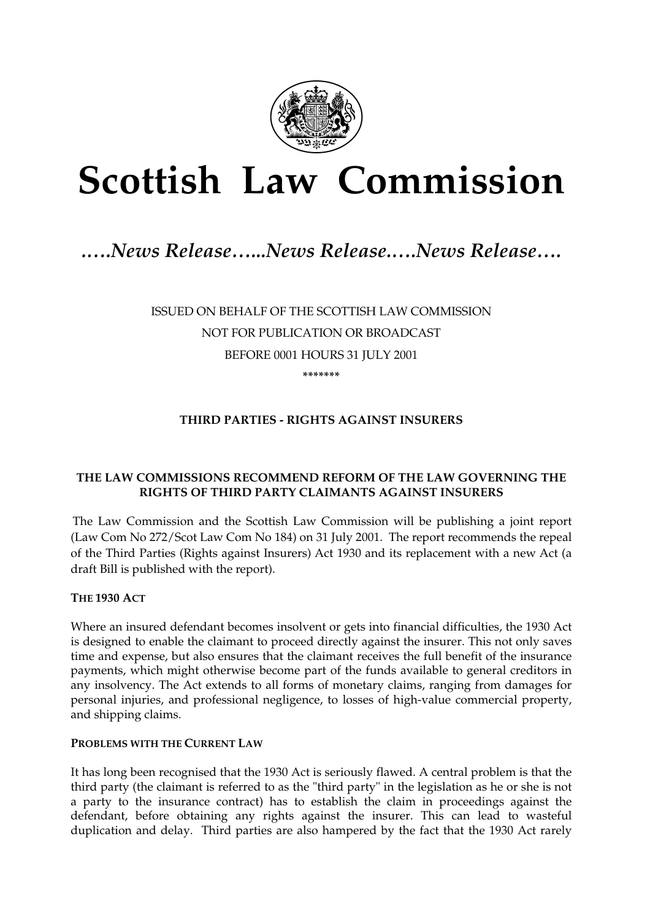

# **Scottish Law Commission**

# *.….News Release…...News Release.….News Release….*

ISSUED ON BEHALF OF THE SCOTTISH LAW COMMISSION NOT FOR PUBLICATION OR BROADCAST BEFORE 0001 HOURS 31 JULY 2001 **\*\*\*\*\*\*\*** 

# **THIRD PARTIES - RIGHTS AGAINST INSURERS**

#### **THE LAW COMMISSIONS RECOMMEND REFORM OF THE LAW GOVERNING THE RIGHTS OF THIRD PARTY CLAIMANTS AGAINST INSURERS**

The Law Commission and the Scottish Law Commission will be publishing a joint report (Law Com No 272/Scot Law Com No 184) on 31 July 2001. The report recommends the repeal of the Third Parties (Rights against Insurers) Act 1930 and its replacement with a new Act (a draft Bill is published with the report).

#### **THE 1930 ACT**

Where an insured defendant becomes insolvent or gets into financial difficulties, the 1930 Act is designed to enable the claimant to proceed directly against the insurer. This not only saves time and expense, but also ensures that the claimant receives the full benefit of the insurance payments, which might otherwise become part of the funds available to general creditors in any insolvency. The Act extends to all forms of monetary claims, ranging from damages for personal injuries, and professional negligence, to losses of high-value commercial property, and shipping claims.

#### **PROBLEMS WITH THE CURRENT LAW**

It has long been recognised that the 1930 Act is seriously flawed. A central problem is that the third party (the claimant is referred to as the "third party" in the legislation as he or she is not a party to the insurance contract) has to establish the claim in proceedings against the defendant, before obtaining any rights against the insurer. This can lead to wasteful duplication and delay. Third parties are also hampered by the fact that the 1930 Act rarely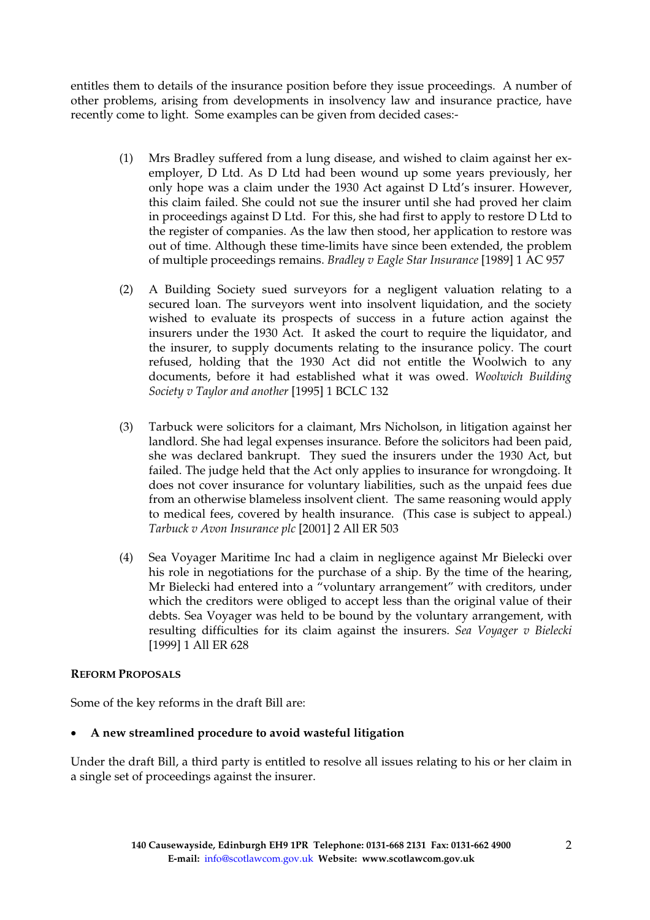entitles them to details of the insurance position before they issue proceedings. A number of other problems, arising from developments in insolvency law and insurance practice, have recently come to light. Some examples can be given from decided cases:-

- (1) Mrs Bradley suffered from a lung disease, and wished to claim against her exemployer, D Ltd. As D Ltd had been wound up some years previously, her only hope was a claim under the 1930 Act against D Ltd's insurer. However, this claim failed. She could not sue the insurer until she had proved her claim in proceedings against D Ltd. For this, she had first to apply to restore D Ltd to the register of companies. As the law then stood, her application to restore was out of time. Although these time-limits have since been extended, the problem of multiple proceedings remains. *Bradley v Eagle Star Insurance* [1989] 1 AC 957
- (2) A Building Society sued surveyors for a negligent valuation relating to a secured loan. The surveyors went into insolvent liquidation, and the society wished to evaluate its prospects of success in a future action against the insurers under the 1930 Act. It asked the court to require the liquidator, and the insurer, to supply documents relating to the insurance policy. The court refused, holding that the 1930 Act did not entitle the Woolwich to any documents, before it had established what it was owed. *Woolwich Building Society v Taylor and another* [1995] 1 BCLC 132
- (3) Tarbuck were solicitors for a claimant, Mrs Nicholson, in litigation against her landlord. She had legal expenses insurance. Before the solicitors had been paid, she was declared bankrupt. They sued the insurers under the 1930 Act, but failed. The judge held that the Act only applies to insurance for wrongdoing. It does not cover insurance for voluntary liabilities, such as the unpaid fees due from an otherwise blameless insolvent client. The same reasoning would apply to medical fees, covered by health insurance. (This case is subject to appeal.) *Tarbuck v Avon Insurance plc* [2001] 2 All ER 503
- (4) Sea Voyager Maritime Inc had a claim in negligence against Mr Bielecki over his role in negotiations for the purchase of a ship. By the time of the hearing, Mr Bielecki had entered into a "voluntary arrangement" with creditors, under which the creditors were obliged to accept less than the original value of their debts. Sea Voyager was held to be bound by the voluntary arrangement, with resulting difficulties for its claim against the insurers. *Sea Voyager v Bielecki*  [1999] 1 All ER 628

# **REFORM PROPOSALS**

Some of the key reforms in the draft Bill are:

# • **A new streamlined procedure to avoid wasteful litigation**

Under the draft Bill, a third party is entitled to resolve all issues relating to his or her claim in a single set of proceedings against the insurer.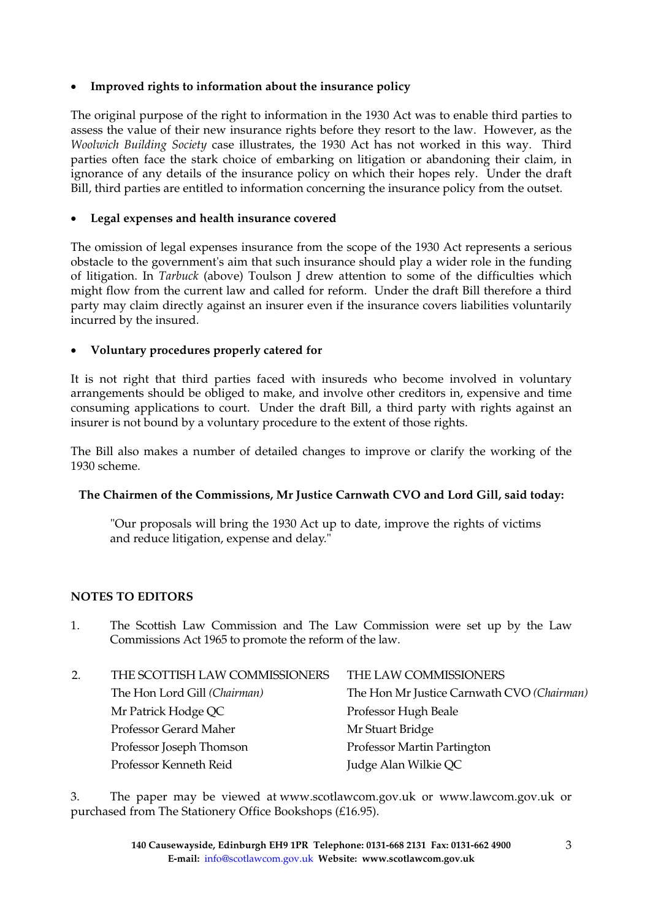### • **Improved rights to information about the insurance policy**

The original purpose of the right to information in the 1930 Act was to enable third parties to assess the value of their new insurance rights before they resort to the law. However, as the *Woolwich Building Society* case illustrates, the 1930 Act has not worked in this way. Third parties often face the stark choice of embarking on litigation or abandoning their claim, in ignorance of any details of the insurance policy on which their hopes rely. Under the draft Bill, third parties are entitled to information concerning the insurance policy from the outset.

#### • **Legal expenses and health insurance covered**

The omission of legal expenses insurance from the scope of the 1930 Act represents a serious obstacle to the government's aim that such insurance should play a wider role in the funding of litigation. In *Tarbuck* (above) Toulson J drew attention to some of the difficulties which might flow from the current law and called for reform. Under the draft Bill therefore a third party may claim directly against an insurer even if the insurance covers liabilities voluntarily incurred by the insured.

#### • **Voluntary procedures properly catered for**

It is not right that third parties faced with insureds who become involved in voluntary arrangements should be obliged to make, and involve other creditors in, expensive and time consuming applications to court. Under the draft Bill, a third party with rights against an insurer is not bound by a voluntary procedure to the extent of those rights.

The Bill also makes a number of detailed changes to improve or clarify the working of the 1930 scheme.

# **The Chairmen of the Commissions, Mr Justice Carnwath CVO and Lord Gill, said today:**

"Our proposals will bring the 1930 Act up to date, improve the rights of victims and reduce litigation, expense and delay."

#### **NOTES TO EDITORS**

1. The Scottish Law Commission and The Law Commission were set up by the Law Commissions Act 1965 to promote the reform of the law.

| 2. | THE SCOTTISH LAW COMMISSIONERS | THE LAW COMMISSIONERS                      |
|----|--------------------------------|--------------------------------------------|
|    | The Hon Lord Gill (Chairman)   | The Hon Mr Justice Carnwath CVO (Chairman) |
|    | Mr Patrick Hodge QC            | Professor Hugh Beale                       |
|    | Professor Gerard Maher         | Mr Stuart Bridge                           |
|    | Professor Joseph Thomson       | Professor Martin Partington                |
|    | Professor Kenneth Reid         | Judge Alan Wilkie QC                       |

3. The paper may be viewed at www.scotlawcom.gov.uk or www.lawcom.gov.uk or purchased from The Stationery Office Bookshops (£16.95).